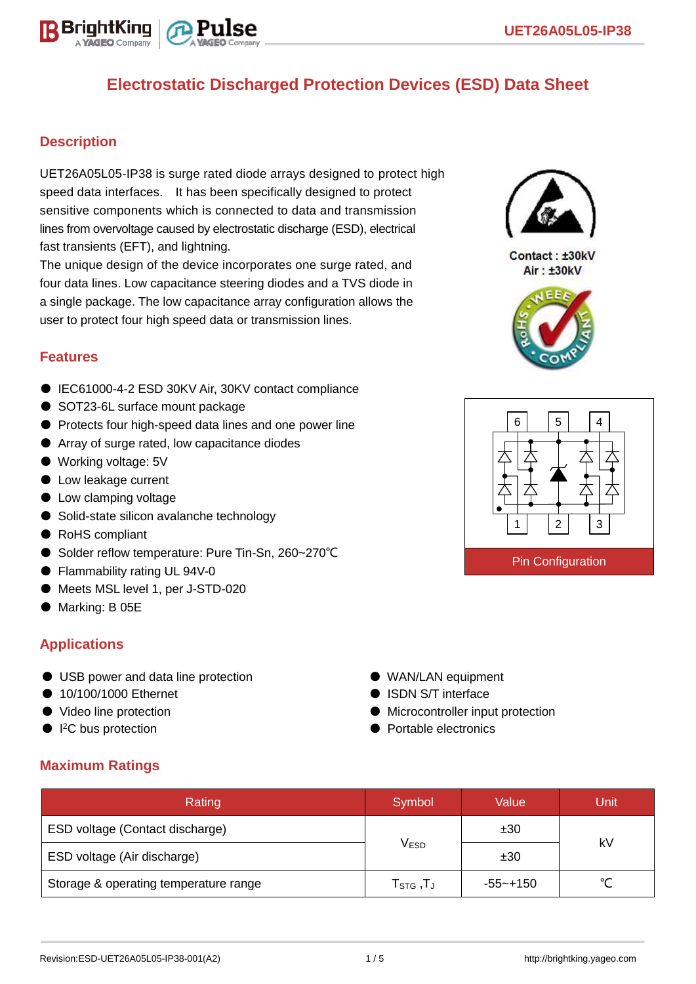

### **Description**

UET26A05L05-IP38 is surge rated diode arrays designed to protect high speed data interfaces. It has been specifically designed to protect sensitive components which is connected to data and transmission lines from overvoltage caused by electrostatic discharge (ESD), electrical fast transients (EFT), and lightning.

The unique design of the device incorporates one surge rated, and four data lines. Low capacitance steering diodes and a TVS diode in a single package. The low capacitance array configuration allows the user to protect four high speed data or transmission lines.

#### **Features**

- IEC61000-4-2 ESD 30KV Air, 30KV contact compliance
- SOT23-6L surface mount package
- Protects four high-speed data lines and one power line
- Array of surge rated, low capacitance diodes
- Working voltage: 5V
- Low leakage current
- Low clamping voltage
- Solid-state silicon avalanche technology
- RoHS compliant
- Solder reflow temperature: Pure Tin-Sn, 260~270°C
- Flammability rating UL 94V-0
- Meets MSL level 1, per J-STD-020
- Marking: B 05E

#### **Applications**

- USB power and data line protection
- 10/100/1000 Ethernet
- Video line protection
- $\bullet$  I<sup>2</sup>C bus protection
- WAN/LAN equipment
- ISDN S/T interface
- Microcontroller input protection
- Portable electronics

### **Maximum Ratings**

| Rating                                | Symbol                          | Value        | Unit |  |
|---------------------------------------|---------------------------------|--------------|------|--|
| ESD voltage (Contact discharge)       |                                 | ±30          | kV   |  |
| ESD voltage (Air discharge)           | <b>VESD</b>                     | ±30          |      |  |
| Storage & operating temperature range | $\mathsf{T}_{\texttt{STG}}$ ,TJ | $-55 - +150$ |      |  |



Contact: ±30kV Air: ±30kV



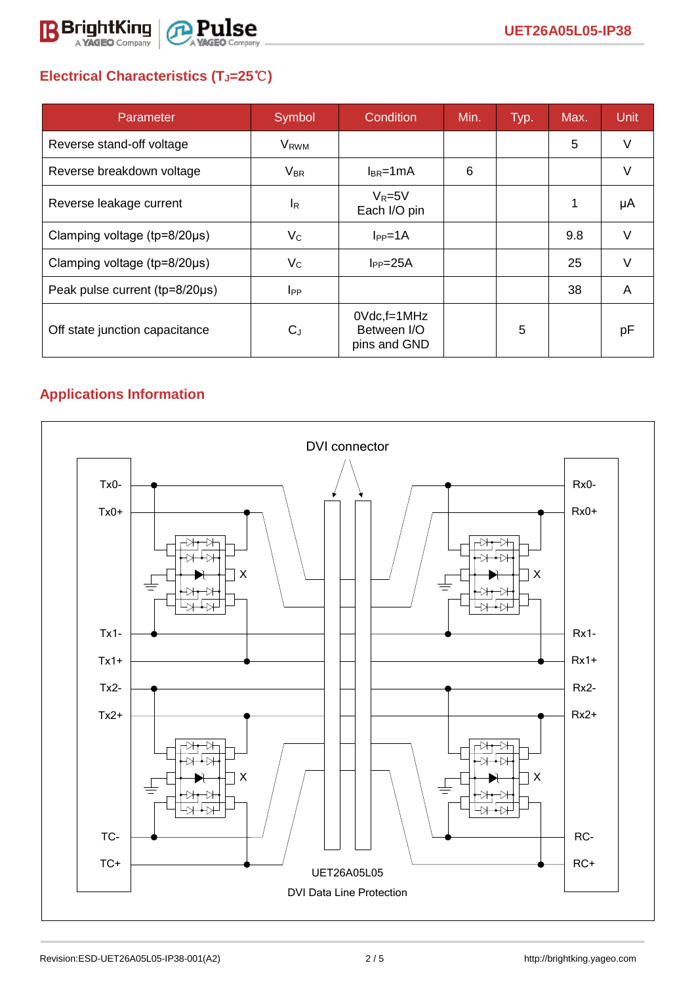

# **Electrical Characteristics (TJ=25**℃**)**

| Parameter                           | Symbol                 | Condition                                         | Min. | Typ. | Max. | <b>Unit</b> |
|-------------------------------------|------------------------|---------------------------------------------------|------|------|------|-------------|
| Reverse stand-off voltage           | <b>V<sub>RWM</sub></b> |                                                   |      |      | 5    | V           |
| Reverse breakdown voltage           | $V_{BR}$               | $I_{BR}$ =1mA                                     | 6    |      |      | V           |
| Reverse leakage current             | <sup>I</sup> R         | $V_R = 5V$<br>Each I/O pin                        |      |      |      | μA          |
| Clamping voltage ( $tp=8/20\mu s$ ) | $V_{\rm C}$            | $I_{PP}=1A$                                       |      |      | 9.8  | V           |
| Clamping voltage ( $tp=8/20\mu s$ ) | $V_{\rm C}$            | $I_{PP} = 25A$                                    |      |      | 25   | $\vee$      |
| Peak pulse current (tp=8/20µs)      | <b>I</b> <sub>PP</sub> |                                                   |      |      | 38   | A           |
| Off state junction capacitance      | $C_{J}$                | $0Vdc$ , f=1 $MHz$<br>Between I/O<br>pins and GND |      | 5    |      | рF          |

# **Applications Information**

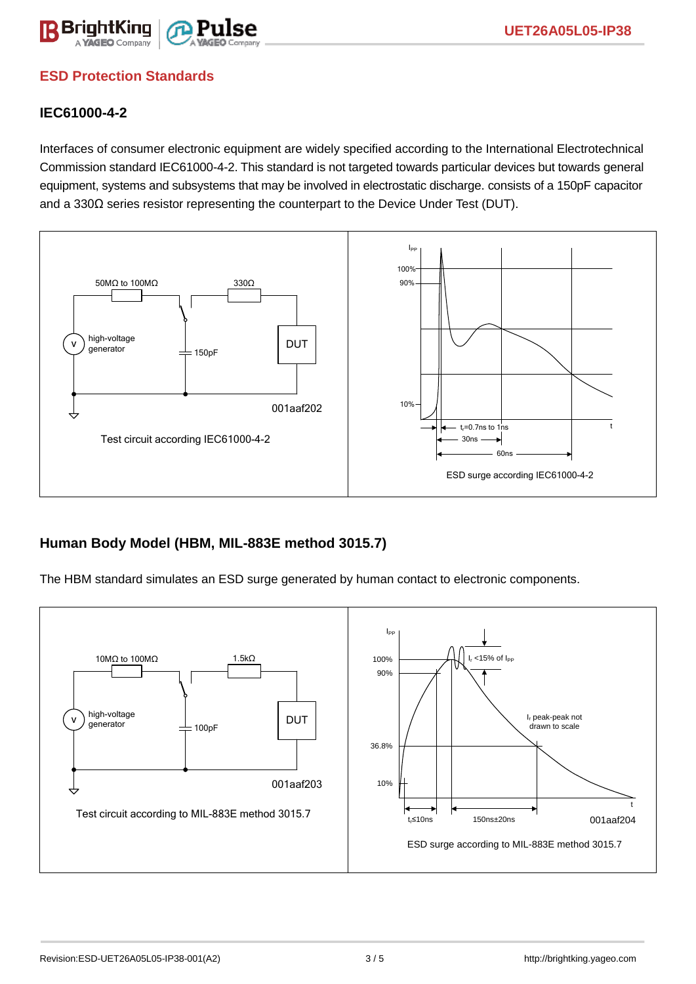

## **ESD Protection Standards**

### **IEC61000-4-2**

Interfaces of consumer electronic equipment are widely specified according to the International Electrotechnical Commission standard IEC61000-4-2. This standard is not targeted towards particular devices but towards general equipment, systems and subsystems that may be involved in electrostatic discharge. consists of a 150pF capacitor and a 330Ω series resistor representing the counterpart to the Device Under Test (DUT).



### **Human Body Model (HBM, MIL-883E method 3015.7)**

The HBM standard simulates an ESD surge generated by human contact to electronic components.

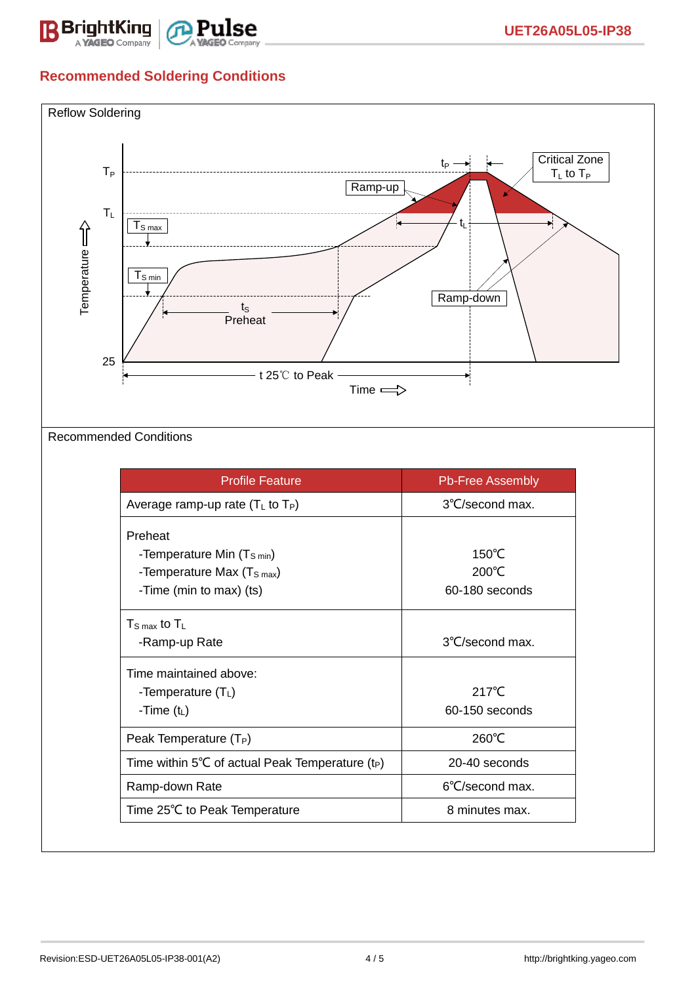

# **Recommended Soldering Conditions**